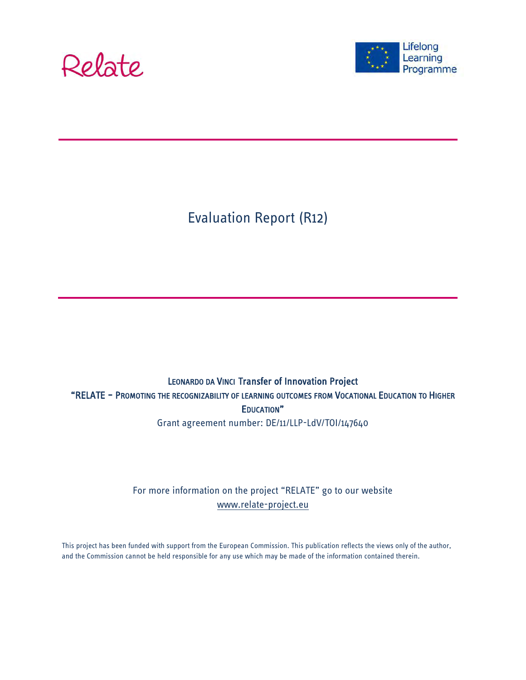



Evaluation Report (R12)

### LEONARDO DA VINCI Transfer of Innovation Project "RELATE – PROMOTING THE RECOGNIZABILITY OF LEARNING OUTCOMES FROM VOCATIONAL EDUCATION TO HIGHER EDUCATION" Grant agreement number: DE/11/LLP-LdV/TOI/147640

### For more information on the project "RELATE" go to our website [www.relate-project.eu](http://www.relate-project.eu/)

This project has been funded with support from the European Commission. This publication reflects the views only of the author, and the Commission cannot be held responsible for any use which may be made of the information contained therein.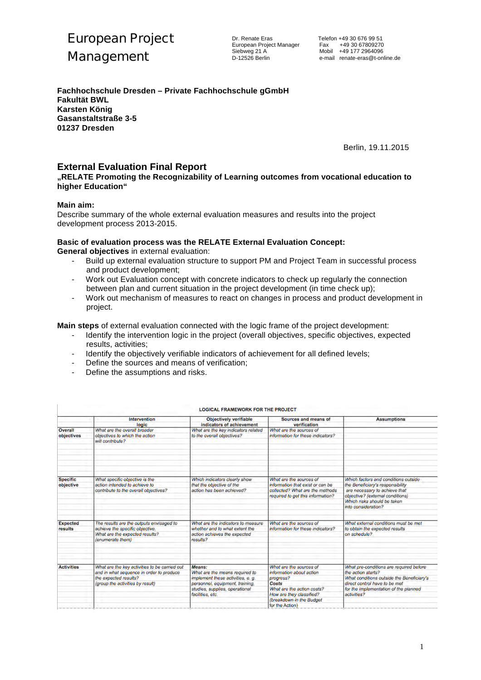

Dr. Renate Eras Telefon +49 30 676 99 51 European Project Manager<br>Siebweg 21 A

**Fachhochschule Dresden – Private Fachhochschule gGmbH Fakultät BWL Karsten König Gasanstaltstraße 3-5 01237 Dresden**

Berlin, 19.11.2015

### **External Evaluation Final Report**

**"RELATE Promoting the Recognizability of Learning outcomes from vocational education to higher Education"**

### **Main aim:**

Describe summary of the whole external evaluation measures and results into the project development process 2013-2015.

### **Basic of evaluation process was the RELATE External Evaluation Concept:**

**General objectives** in external evaluation:

- Build up external evaluation structure to support PM and Project Team in successful process and product development;
- Work out Evaluation concept with concrete indicators to check up regularly the connection between plan and current situation in the project development (in time check up);
- Work out mechanism of measures to react on changes in process and product development in project.

**Main steps** of external evaluation connected with the logic frame of the project development:

- Identify the intervention logic in the project (overall objectives, specific objectives, expected results, activities;
- Identify the objectively verifiable indicators of achievement for all defined levels;
- Define the sources and means of verification:
- Define the assumptions and risks.

|                   | <b>Intervention</b><br>logic                  | Objectively verifiable<br>indicators of achievement | Sources and means of<br>verification | <b>Assumptions</b>                        |
|-------------------|-----------------------------------------------|-----------------------------------------------------|--------------------------------------|-------------------------------------------|
| Overall           | What are the overall broader                  | What are the key indicators related                 | What are the sources of              |                                           |
| objectives        | objectives to which the action                | to the overall objectives?                          | information for these indicators?    |                                           |
|                   | will contribute?                              |                                                     |                                      |                                           |
|                   |                                               |                                                     |                                      |                                           |
| <b>Specific</b>   | What specific objective is the                | Which indicators clearly show                       | What are the sources of              | Which factors and conditions outside      |
| objective         | action intended to achieve to                 | that the objective of the                           | information that exist or can be     | the Beneficiary's responsibility          |
|                   | contribute to the overall objectives?         | action has been achieved?                           | collected? What are the methods      | are necessary to achieve that             |
|                   |                                               |                                                     | required to get this information?    | objective? (external conditions)          |
|                   |                                               |                                                     |                                      | Which risks should be taken               |
|                   |                                               |                                                     |                                      | into consideration?                       |
| <b>Expected</b>   | The results are the outputs envisaged to      | What are the indicators to measure.                 | What are the sources of              | What external conditions must be met      |
| results           | achieve the specific objective.               | whether and to what extent the                      | information for these indicators?    | to obtain the expected results            |
|                   | What are the expected results?                | action achieves the expected                        |                                      | on schedule?                              |
|                   | (enumerate them)                              | results?                                            |                                      |                                           |
|                   |                                               |                                                     |                                      |                                           |
| <b>Activities</b> | What are the key activities to be carried out | Means:                                              | What are the sources of              | What pre-conditions are required before   |
|                   | and in what sequence in order to produce      | What are the means required to                      | information about action             | the action starts?                        |
|                   | the expected results?                         | implement these activities, e. g.                   | progress?                            | What conditions outside the Beneficiary's |
|                   | (group the activities by result)              | personnel, equipment, training,                     | Costs                                | direct control have to be met.            |
|                   |                                               | studies, supplies, operational                      | What are the action costs?           | for the implementation of the planned     |
|                   |                                               | facilities, etc.                                    | How are they classified?             | activities?                               |
|                   |                                               |                                                     | (breakdown in the Budget             |                                           |
|                   |                                               |                                                     | for the Action)                      |                                           |

#### LOGICAL FRAMEWORK FOR THE PROJECT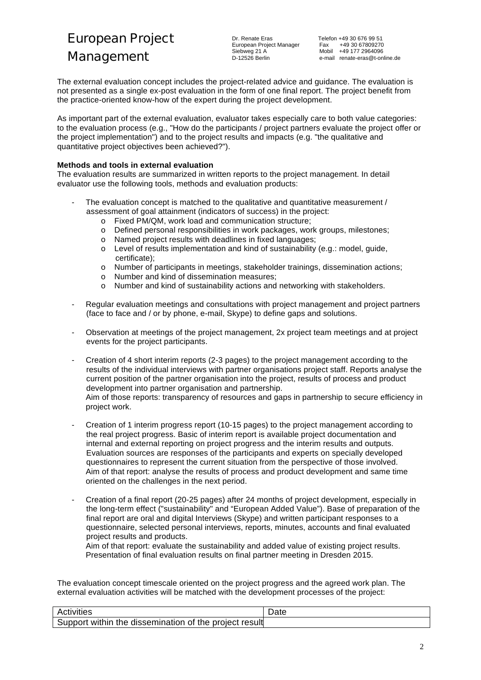European Project Manager<br>Siebweg 21 A

The external evaluation concept includes the project-related advice and guidance. The evaluation is not presented as a single ex-post evaluation in the form of one final report. The project benefit from the practice-oriented know-how of the expert during the project development.

As important part of the external evaluation, evaluator takes especially care to both value categories: to the evaluation process (e.g., "How do the participants / project partners evaluate the project offer or the project implementation") and to the project results and impacts (e.g. "the qualitative and quantitative project objectives been achieved?").

### **Methods and tools in external evaluation**

The evaluation results are summarized in written reports to the project management. In detail evaluator use the following tools, methods and evaluation products:

- The evaluation concept is matched to the qualitative and quantitative measurement / assessment of goal attainment (indicators of success) in the project:
	- o Fixed PM/QM, work load and communication structure;
	- o Defined personal responsibilities in work packages, work groups, milestones;
	- o Named project results with deadlines in fixed languages;
	- o Level of results implementation and kind of sustainability (e.g.: model, guide, certificate);
	- o Number of participants in meetings, stakeholder trainings, dissemination actions;
	- o Number and kind of dissemination measures;
	- o Number and kind of sustainability actions and networking with stakeholders.
- Regular evaluation meetings and consultations with project management and project partners (face to face and / or by phone, e-mail, Skype) to define gaps and solutions.
- Observation at meetings of the project management, 2x project team meetings and at project events for the project participants.
- Creation of 4 short interim reports (2-3 pages) to the project management according to the results of the individual interviews with partner organisations project staff. Reports analyse the current position of the partner organisation into the project, results of process and product development into partner organisation and partnership. Aim of those reports: transparency of resources and gaps in partnership to secure efficiency in

project work.

- Creation of 1 interim progress report (10-15 pages) to the project management according to the real project progress. Basic of interim report is available project documentation and internal and external reporting on project progress and the interim results and outputs. Evaluation sources are responses of the participants and experts on specially developed questionnaires to represent the current situation from the perspective of those involved. Aim of that report: analyse the results of process and product development and same time oriented on the challenges in the next period.
- Creation of a final report (20-25 pages) after 24 months of project development, especially in the long-term effect ("sustainability" and "European Added Value"). Base of preparation of the final report are oral and digital Interviews (Skype) and written participant responses to a questionnaire, selected personal interviews, reports, minutes, accounts and final evaluated project results and products.

Aim of that report: evaluate the sustainability and added value of existing project results. Presentation of final evaluation results on final partner meeting in Dresden 2015.

The evaluation concept timescale oriented on the project progress and the agreed work plan. The external evaluation activities will be matched with the development processes of the project:

| Activities                                                | Date |
|-----------------------------------------------------------|------|
| within the dissemination of the project result<br>Support |      |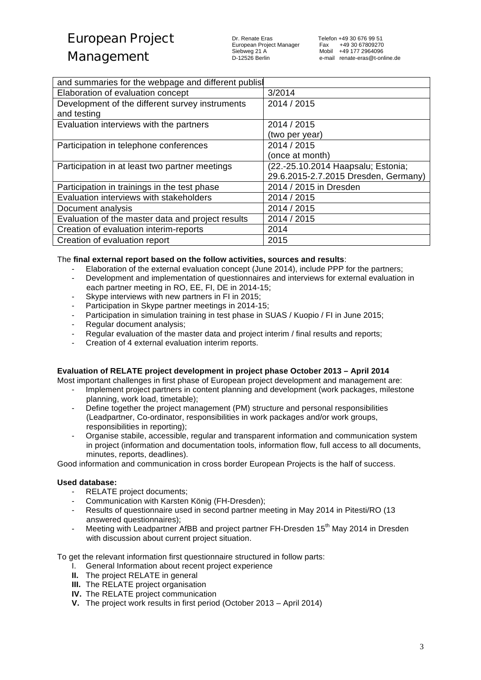### Management

Dr. Renate Eras Telefon +49 30 676 99 51 European Project Manager<br>Siebweg 21 A

| and summaries for the webpage and different publis |                                      |
|----------------------------------------------------|--------------------------------------|
| Elaboration of evaluation concept                  | 3/2014                               |
| Development of the different survey instruments    | 2014 / 2015                          |
| and testing                                        |                                      |
| Evaluation interviews with the partners            | 2014 / 2015                          |
|                                                    | (two per year)                       |
| Participation in telephone conferences             | 2014 / 2015                          |
|                                                    | (once at month)                      |
| Participation in at least two partner meetings     | (22.-25.10.2014 Haapsalu; Estonia;   |
|                                                    | 29.6.2015-2.7.2015 Dresden, Germany) |
| Participation in trainings in the test phase       | 2014 / 2015 in Dresden               |
| Evaluation interviews with stakeholders            | 2014 / 2015                          |
| Document analysis                                  | 2014 / 2015                          |
| Evaluation of the master data and project results  | 2014 / 2015                          |
| Creation of evaluation interim-reports             | 2014                                 |
| Creation of evaluation report                      | 2015                                 |

### The **final external report based on the follow activities, sources and results**:

- Elaboration of the external evaluation concept (June 2014), include PPP for the partners;
- Development and implementation of questionnaires and interviews for external evaluation in each partner meeting in RO, EE, FI, DE in 2014-15;
- Skype interviews with new partners in FI in 2015;
- Participation in Skype partner meetings in 2014-15;
- Participation in simulation training in test phase in SUAS / Kuopio / FI in June 2015;
- Regular document analysis:
- Regular evaluation of the master data and project interim / final results and reports;
- Creation of 4 external evaluation interim reports.

### **Evaluation of RELATE project development in project phase October 2013 – April 2014**

Most important challenges in first phase of European project development and management are:

- Implement project partners in content planning and development (work packages, milestone planning, work load, timetable);
- Define together the project management (PM) structure and personal responsibilities (Leadpartner, Co-ordinator, responsibilities in work packages and/or work groups, responsibilities in reporting);
- Organise stabile, accessible, regular and transparent information and communication system in project (information and documentation tools, information flow, full access to all documents, minutes, reports, deadlines).

Good information and communication in cross border European Projects is the half of success.

### **Used database:**

- RELATE project documents;
- Communication with Karsten König (FH-Dresden);
- Results of questionnaire used in second partner meeting in May 2014 in Pitesti/RO (13 answered questionnaires);
- Meeting with Leadpartner AfBB and project partner FH-Dresden 15<sup>th</sup> May 2014 in Dresden with discussion about current project situation.

To get the relevant information first questionnaire structured in follow parts:

- I. General Information about recent project experience
- **II.** The project RELATE in general
- **III.** The RELATE project organisation
- **IV.** The RELATE project communication
- **V.** The project work results in first period (October 2013 April 2014)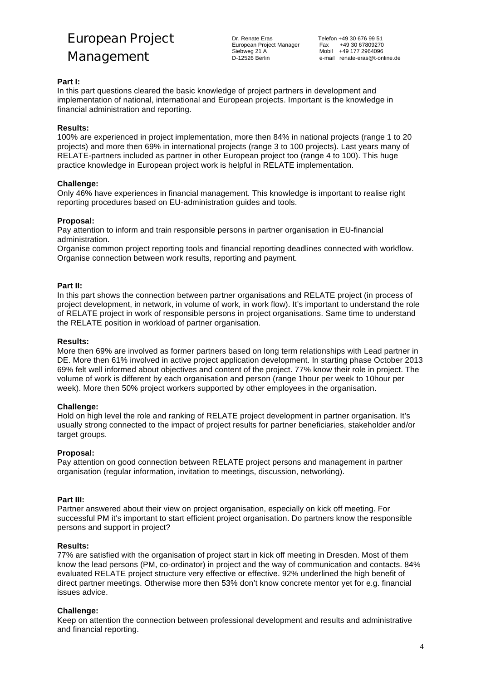# European Project

### Management

Dr. Renate Eras Telefon +49 30 676 99 51 European Project Manager<br>Siebweg 21 A

Fax +49 30 67809270<br>Mobil +49 177 2964096 D-12526 Berlin e-mail renate-eras@t-online.de

### **Part I:**

In this part questions cleared the basic knowledge of project partners in development and implementation of national, international and European projects. Important is the knowledge in financial administration and reporting.

### **Results:**

100% are experienced in project implementation, more then 84% in national projects (range 1 to 20 projects) and more then 69% in international projects (range 3 to 100 projects). Last years many of RELATE-partners included as partner in other European project too (range 4 to 100). This huge practice knowledge in European project work is helpful in RELATE implementation.

### **Challenge:**

Only 46% have experiences in financial management. This knowledge is important to realise right reporting procedures based on EU-administration guides and tools.

### **Proposal:**

Pay attention to inform and train responsible persons in partner organisation in EU-financial administration.

Organise common project reporting tools and financial reporting deadlines connected with workflow. Organise connection between work results, reporting and payment.

### **Part II:**

In this part shows the connection between partner organisations and RELATE project (in process of project development, in network, in volume of work, in work flow). It's important to understand the role of RELATE project in work of responsible persons in project organisations. Same time to understand the RELATE position in workload of partner organisation.

### **Results:**

More then 69% are involved as former partners based on long term relationships with Lead partner in DE. More then 61% involved in active project application development. In starting phase October 2013 69% felt well informed about objectives and content of the project. 77% know their role in project. The volume of work is different by each organisation and person (range 1hour per week to 10hour per week). More then 50% project workers supported by other employees in the organisation.

### **Challenge:**

Hold on high level the role and ranking of RELATE project development in partner organisation. It's usually strong connected to the impact of project results for partner beneficiaries, stakeholder and/or target groups.

### **Proposal:**

Pay attention on good connection between RELATE project persons and management in partner organisation (regular information, invitation to meetings, discussion, networking).

### **Part III:**

Partner answered about their view on project organisation, especially on kick off meeting. For successful PM it's important to start efficient project organisation. Do partners know the responsible persons and support in project?

### **Results:**

77% are satisfied with the organisation of project start in kick off meeting in Dresden. Most of them know the lead persons (PM, co-ordinator) in project and the way of communication and contacts. 84% evaluated RELATE project structure very effective or effective. 92% underlined the high benefit of direct partner meetings. Otherwise more then 53% don't know concrete mentor yet for e.g. financial issues advice.

### **Challenge:**

Keep on attention the connection between professional development and results and administrative and financial reporting.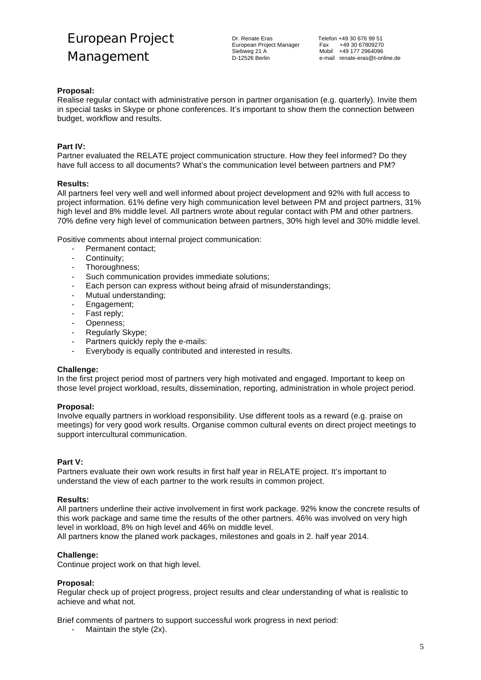

### **Proposal:**

Realise regular contact with administrative person in partner organisation (e.g. quarterly). Invite them in special tasks in Skype or phone conferences. It's important to show them the connection between budget, workflow and results.

### **Part IV:**

Partner evaluated the RELATE project communication structure. How they feel informed? Do they have full access to all documents? What's the communication level between partners and PM?

### **Results:**

All partners feel very well and well informed about project development and 92% with full access to project information. 61% define very high communication level between PM and project partners, 31% high level and 8% middle level. All partners wrote about regular contact with PM and other partners. 70% define very high level of communication between partners, 30% high level and 30% middle level.

Positive comments about internal project communication:

- Permanent contact:
- Continuity;
- Thoroughness;
- Such communication provides immediate solutions:
- Each person can express without being afraid of misunderstandings;
- Mutual understanding;
- Engagement;
- Fast reply;
- Openness;
- Regularly Skype;
- Partners quickly reply the e-mails:<br>- Everybody is equally contributed a
- Everybody is equally contributed and interested in results.

### **Challenge:**

In the first project period most of partners very high motivated and engaged. Important to keep on those level project workload, results, dissemination, reporting, administration in whole project period.

### **Proposal:**

Involve equally partners in workload responsibility. Use different tools as a reward (e.g. praise on meetings) for very good work results. Organise common cultural events on direct project meetings to support intercultural communication.

### **Part V:**

Partners evaluate their own work results in first half year in RELATE project. It's important to understand the view of each partner to the work results in common project.

### **Results:**

All partners underline their active involvement in first work package. 92% know the concrete results of this work package and same time the results of the other partners. 46% was involved on very high level in workload, 8% on high level and 46% on middle level.

All partners know the planed work packages, milestones and goals in 2. half year 2014.

### **Challenge:**

Continue project work on that high level.

### **Proposal:**

Regular check up of project progress, project results and clear understanding of what is realistic to achieve and what not.

Brief comments of partners to support successful work progress in next period:

Maintain the style  $(2x)$ .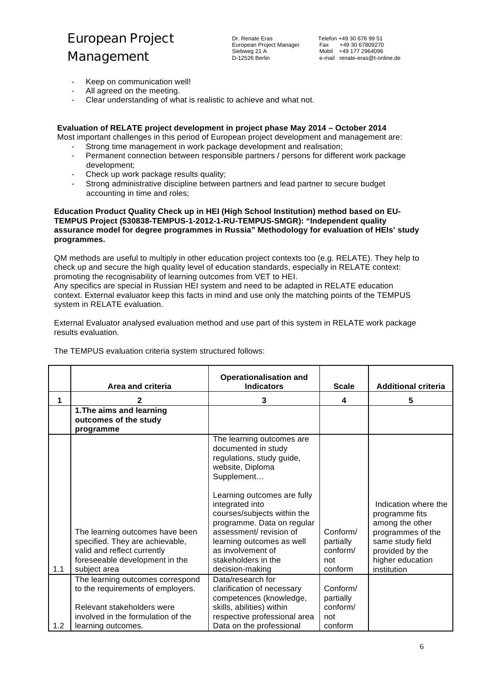- Keep on communication well!
- All agreed on the meeting.
- Clear understanding of what is realistic to achieve and what not.

### **Evaluation of RELATE project development in project phase May 2014 – October 2014**

- Most important challenges in this period of European project development and management are: Strong time management in work package development and realisation;
	- Permanent connection between responsible partners / persons for different work package development;
	- Check up work package results quality;
	- Strong administrative discipline between partners and lead partner to secure budget accounting in time and roles;

**Education Product Quality Check up in HEI (High School Institution) method based on EU-TEMPUS Project (530838-TEMPUS-1-2012-1-RU-TEMPUS-SMGR): "Independent quality assurance model for degree programmes in Russia" Methodology for evaluation of HEIs' study programmes.**

QM methods are useful to multiply in other education project contexts too (e.g. RELATE). They help to check up and secure the high quality level of education standards, especially in RELATE context: promoting the recognisability of learning outcomes from VET to HEI.

Any specifics are special in Russian HEI system and need to be adapted in RELATE education context. External evaluator keep this facts in mind and use only the matching points of the TEMPUS system in RELATE evaluation.

External Evaluator analysed evaluation method and use part of this system in RELATE work package results evaluation.

|     | Area and criteria                                                                                                                                   | <b>Operationalisation and</b><br><b>Indicators</b>                                                                                                                                                                                                                                                                                                   | <b>Scale</b>                                        | <b>Additional criteria</b>                                                                                                                               |
|-----|-----------------------------------------------------------------------------------------------------------------------------------------------------|------------------------------------------------------------------------------------------------------------------------------------------------------------------------------------------------------------------------------------------------------------------------------------------------------------------------------------------------------|-----------------------------------------------------|----------------------------------------------------------------------------------------------------------------------------------------------------------|
| 1   |                                                                                                                                                     | 3                                                                                                                                                                                                                                                                                                                                                    | 4                                                   | 5                                                                                                                                                        |
|     | 1. The aims and learning<br>outcomes of the study<br>programme                                                                                      |                                                                                                                                                                                                                                                                                                                                                      |                                                     |                                                                                                                                                          |
| 1.1 | The learning outcomes have been<br>specified. They are achievable,<br>valid and reflect currently<br>foreseeable development in the<br>subject area | The learning outcomes are<br>documented in study<br>regulations, study guide,<br>website, Diploma<br>Supplement<br>Learning outcomes are fully<br>integrated into<br>courses/subjects within the<br>programme. Data on regular<br>assessment/revision of<br>learning outcomes as well<br>as involvement of<br>stakeholders in the<br>decision-making | Conform/<br>partially<br>conform/<br>not<br>conform | Indication where the<br>programme fits<br>among the other<br>programmes of the<br>same study field<br>provided by the<br>higher education<br>institution |
|     | The learning outcomes correspond<br>to the requirements of employers.                                                                               | Data/research for<br>clarification of necessary<br>competences (knowledge,                                                                                                                                                                                                                                                                           | Conform/<br>partially                               |                                                                                                                                                          |
| 1.2 | Relevant stakeholders were<br>involved in the formulation of the<br>learning outcomes.                                                              | skills, abilities) within<br>respective professional area<br>Data on the professional                                                                                                                                                                                                                                                                | conform/<br>not<br>conform                          |                                                                                                                                                          |

The TEMPUS evaluation criteria system structured follows: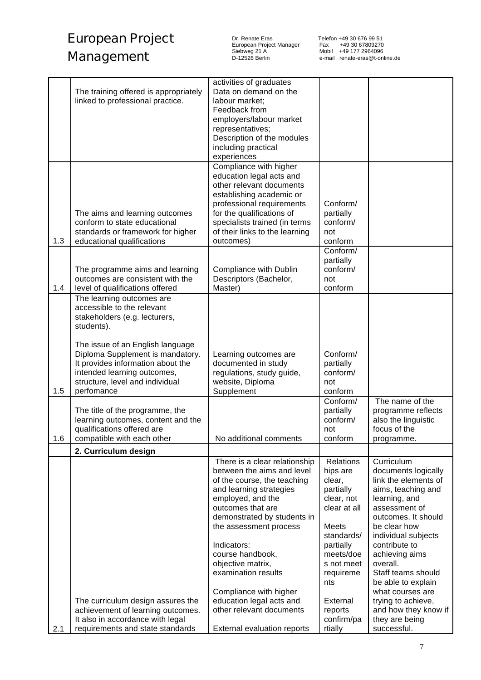Dr. Renate Eras Telefon +49 30 676 99 51 European Project Manager Fax +49 30 67809270 Siebweg 21 A Mobil +49 177 2964096

|     | The training offered is appropriately<br>linked to professional practice.                                                                                                                 | activities of graduates<br>Data on demand on the<br>labour market;<br>Feedback from<br>employers/labour market<br>representatives;<br>Description of the modules<br>including practical<br>experiences                                                                                                                                                        |                                                                                                                                                                                  |                                                                                                                                                                                                                                                                                                                      |
|-----|-------------------------------------------------------------------------------------------------------------------------------------------------------------------------------------------|---------------------------------------------------------------------------------------------------------------------------------------------------------------------------------------------------------------------------------------------------------------------------------------------------------------------------------------------------------------|----------------------------------------------------------------------------------------------------------------------------------------------------------------------------------|----------------------------------------------------------------------------------------------------------------------------------------------------------------------------------------------------------------------------------------------------------------------------------------------------------------------|
| 1.3 | The aims and learning outcomes<br>conform to state educational<br>standards or framework for higher<br>educational qualifications                                                         | Compliance with higher<br>education legal acts and<br>other relevant documents<br>establishing academic or<br>professional requirements<br>for the qualifications of<br>specialists trained (in terms<br>of their links to the learning<br>outcomes)                                                                                                          | Conform/<br>partially<br>conform/<br>not<br>conform                                                                                                                              |                                                                                                                                                                                                                                                                                                                      |
| 1.4 | The programme aims and learning<br>outcomes are consistent with the<br>level of qualifications offered                                                                                    | Compliance with Dublin<br>Descriptors (Bachelor,<br>Master)                                                                                                                                                                                                                                                                                                   | Conform/<br>partially<br>conform/<br>not<br>conform                                                                                                                              |                                                                                                                                                                                                                                                                                                                      |
|     | The learning outcomes are<br>accessible to the relevant<br>stakeholders (e.g. lecturers,<br>students).                                                                                    |                                                                                                                                                                                                                                                                                                                                                               |                                                                                                                                                                                  |                                                                                                                                                                                                                                                                                                                      |
| 1.5 | The issue of an English language<br>Diploma Supplement is mandatory.<br>It provides information about the<br>intended learning outcomes,<br>structure, level and individual<br>perfomance | Learning outcomes are<br>documented in study<br>regulations, study guide,<br>website, Diploma<br>Supplement                                                                                                                                                                                                                                                   | Conform/<br>partially<br>conform/<br>not<br>conform                                                                                                                              |                                                                                                                                                                                                                                                                                                                      |
| 1.6 | The title of the programme, the<br>learning outcomes, content and the<br>qualifications offered are<br>compatible with each other                                                         | No additional comments                                                                                                                                                                                                                                                                                                                                        | Conform/<br>partially<br>conform/<br>not<br>conform                                                                                                                              | The name of the<br>programme reflects<br>also the linguistic<br>focus of the<br>programme.                                                                                                                                                                                                                           |
|     | 2. Curriculum design                                                                                                                                                                      |                                                                                                                                                                                                                                                                                                                                                               |                                                                                                                                                                                  |                                                                                                                                                                                                                                                                                                                      |
|     | The curriculum design assures the                                                                                                                                                         | There is a clear relationship<br>between the aims and level<br>of the course, the teaching<br>and learning strategies<br>employed, and the<br>outcomes that are<br>demonstrated by students in<br>the assessment process<br>Indicators:<br>course handbook,<br>objective matrix,<br>examination results<br>Compliance with higher<br>education legal acts and | <b>Relations</b><br>hips are<br>clear,<br>partially<br>clear, not<br>clear at all<br>Meets<br>standards/<br>partially<br>meets/doe<br>s not meet<br>requireme<br>nts<br>External | Curriculum<br>documents logically<br>link the elements of<br>aims, teaching and<br>learning, and<br>assessment of<br>outcomes. It should<br>be clear how<br>individual subjects<br>contribute to<br>achieving aims<br>overall.<br>Staff teams should<br>be able to explain<br>what courses are<br>trying to achieve, |
| 2.1 | achievement of learning outcomes.<br>It also in accordance with legal<br>requirements and state standards                                                                                 | other relevant documents<br>External evaluation reports                                                                                                                                                                                                                                                                                                       | reports<br>confirm/pa<br>rtially                                                                                                                                                 | and how they know if<br>they are being<br>successful.                                                                                                                                                                                                                                                                |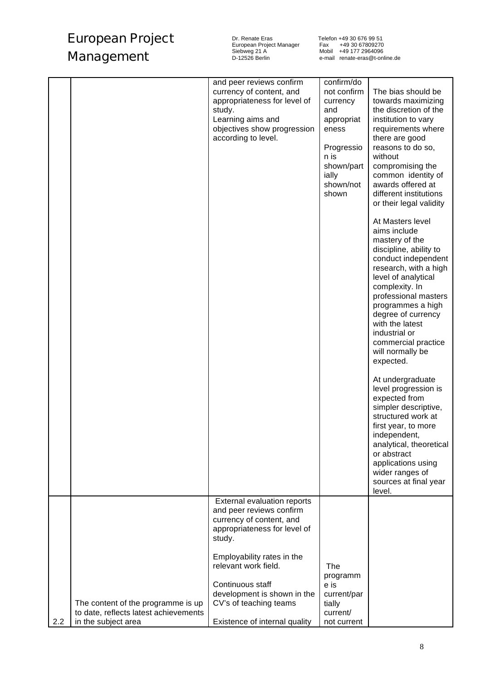Dr. Renate Eras Telefon +49 30 676 99 51 European Project Manager Fax +49 30 67809270 Siebweg 21 A Mobil +49 177 2964096

| level.<br>External evaluation reports<br>and peer reviews confirm<br>currency of content, and<br>appropriateness for level of<br>study.                                                                                                                                        | confirm/do<br>not confirm<br>The bias should be<br>currency<br>towards maximizing<br>the discretion of the<br>institution to vary<br>appropriat<br>requirements where<br>there are good<br>Progressio<br>reasons to do so,<br>without<br>shown/part<br>compromising the<br>common identity of<br>shown/not<br>awards offered at<br>different institutions<br>or their legal validity |
|--------------------------------------------------------------------------------------------------------------------------------------------------------------------------------------------------------------------------------------------------------------------------------|--------------------------------------------------------------------------------------------------------------------------------------------------------------------------------------------------------------------------------------------------------------------------------------------------------------------------------------------------------------------------------------|
|                                                                                                                                                                                                                                                                                | At Masters level<br>aims include<br>mastery of the<br>discipline, ability to<br>conduct independent<br>research, with a high<br>level of analytical<br>complexity. In<br>professional masters<br>programmes a high<br>degree of currency<br>with the latest<br>industrial or<br>commercial practice<br>will normally be<br>expected.                                                 |
|                                                                                                                                                                                                                                                                                | At undergraduate<br>level progression is<br>expected from<br>simpler descriptive,<br>structured work at<br>first year, to more<br>independent,<br>analytical, theoretical<br>or abstract<br>applications using<br>wider ranges of<br>sources at final year                                                                                                                           |
|                                                                                                                                                                                                                                                                                |                                                                                                                                                                                                                                                                                                                                                                                      |
| Employability rates in the<br>relevant work field.<br>The<br>programm<br>Continuous staff<br>e is<br>development is shown in the<br>current/par<br>The content of the programme is up<br>CV's of teaching teams<br>tially<br>to date, reflects latest achievements<br>current/ |                                                                                                                                                                                                                                                                                                                                                                                      |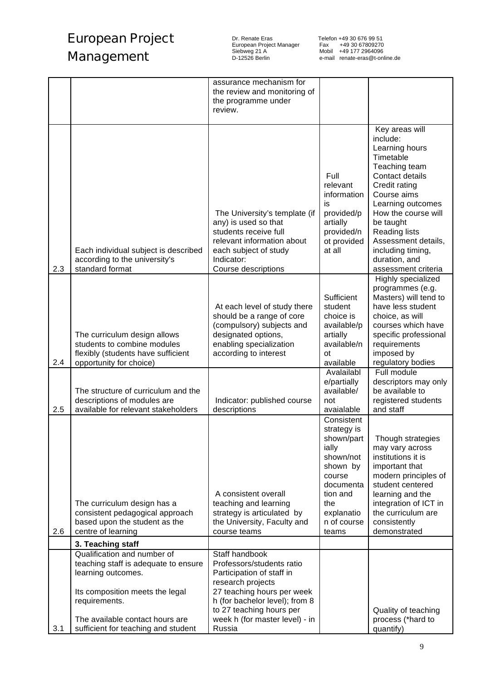Dr. Renate Eras Telefon +49 30 676 99 51 European Project Manager Fax +49 30 67809270 Siebweg 21 A Mobil +49 177 2964096

|     |                                                                                                                                                                                          | assurance mechanism for<br>the review and monitoring of<br>the programme under<br>review.                                                                                                                           |                                                                                                                                                           |                                                                                                                                                                                                                                                                                                    |
|-----|------------------------------------------------------------------------------------------------------------------------------------------------------------------------------------------|---------------------------------------------------------------------------------------------------------------------------------------------------------------------------------------------------------------------|-----------------------------------------------------------------------------------------------------------------------------------------------------------|----------------------------------------------------------------------------------------------------------------------------------------------------------------------------------------------------------------------------------------------------------------------------------------------------|
| 2.3 | Each individual subject is described<br>according to the university's<br>standard format                                                                                                 | The University's template (if<br>any) is used so that<br>students receive full<br>relevant information about<br>each subject of study<br>Indicator:<br>Course descriptions                                          | Full<br>relevant<br>information<br>is<br>provided/p<br>artially<br>provided/n<br>ot provided<br>at all                                                    | Key areas will<br>include:<br>Learning hours<br>Timetable<br>Teaching team<br>Contact details<br>Credit rating<br>Course aims<br>Learning outcomes<br>How the course will<br>be taught<br><b>Reading lists</b><br>Assessment details,<br>including timing,<br>duration, and<br>assessment criteria |
| 2.4 | The curriculum design allows<br>students to combine modules<br>flexibly (students have sufficient<br>opportunity for choice)                                                             | At each level of study there<br>should be a range of core<br>(compulsory) subjects and<br>designated options,<br>enabling specialization<br>according to interest                                                   | Sufficient<br>student<br>choice is<br>available/p<br>artially<br>available/n<br>οt<br>available                                                           | Highly specialized<br>programmes (e.g.<br>Masters) will tend to<br>have less student<br>choice, as will<br>courses which have<br>specific professional<br>requirements<br>imposed by<br>regulatory bodies                                                                                          |
| 2.5 | The structure of curriculum and the<br>descriptions of modules are<br>available for relevant stakeholders                                                                                | Indicator: published course<br>descriptions                                                                                                                                                                         | Avalailabl<br>e/partially<br>available/<br>not<br>avaialable                                                                                              | Full module<br>descriptors may only<br>be available to<br>registered students<br>and staff                                                                                                                                                                                                         |
| 2.6 | The curriculum design has a<br>consistent pedagogical approach<br>based upon the student as the<br>centre of learning<br>3. Teaching staff                                               | A consistent overall<br>teaching and learning<br>strategy is articulated by<br>the University, Faculty and<br>course teams                                                                                          | Consistent<br>strategy is<br>shown/part<br>ially<br>shown/not<br>shown by<br>course<br>documenta<br>tion and<br>the<br>explanatio<br>n of course<br>teams | Though strategies<br>may vary across<br>institutions it is<br>important that<br>modern principles of<br>student centered<br>learning and the<br>integration of ICT in<br>the curriculum are<br>consistently<br>demonstrated                                                                        |
|     | Qualification and number of                                                                                                                                                              | Staff handbook                                                                                                                                                                                                      |                                                                                                                                                           |                                                                                                                                                                                                                                                                                                    |
| 3.1 | teaching staff is adequate to ensure<br>learning outcomes.<br>Its composition meets the legal<br>requirements.<br>The available contact hours are<br>sufficient for teaching and student | Professors/students ratio<br>Participation of staff in<br>research projects<br>27 teaching hours per week<br>h (for bachelor level); from 8<br>to 27 teaching hours per<br>week h (for master level) - in<br>Russia |                                                                                                                                                           | Quality of teaching<br>process (*hard to<br>quantify)                                                                                                                                                                                                                                              |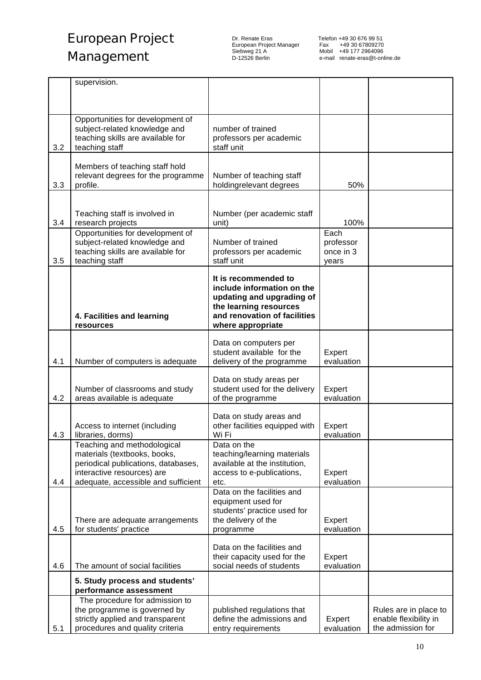Dr. Renate Eras Telefon +49 30 676 99 51 European Project Manager Fax +49 30 67809270 Siebweg 21 A Mobil +49 177 2964096

|     | supervision.                                                        |                                                         |                      |                                                                     |
|-----|---------------------------------------------------------------------|---------------------------------------------------------|----------------------|---------------------------------------------------------------------|
|     |                                                                     |                                                         |                      |                                                                     |
|     |                                                                     |                                                         |                      |                                                                     |
|     | Opportunities for development of<br>subject-related knowledge and   | number of trained                                       |                      |                                                                     |
|     | teaching skills are available for                                   | professors per academic                                 |                      |                                                                     |
| 3.2 | teaching staff                                                      | staff unit                                              |                      |                                                                     |
|     |                                                                     |                                                         |                      |                                                                     |
|     | Members of teaching staff hold                                      |                                                         |                      |                                                                     |
| 3.3 | relevant degrees for the programme<br>profile.                      | Number of teaching staff<br>holdingrelevant degrees     | 50%                  |                                                                     |
|     |                                                                     |                                                         |                      |                                                                     |
|     |                                                                     |                                                         |                      |                                                                     |
|     | Teaching staff is involved in                                       | Number (per academic staff                              |                      |                                                                     |
| 3.4 | research projects<br>Opportunities for development of               | unit)                                                   | 100%<br>Each         |                                                                     |
|     | subject-related knowledge and                                       | Number of trained                                       | professor            |                                                                     |
|     | teaching skills are available for                                   | professors per academic                                 | once in 3            |                                                                     |
| 3.5 | teaching staff                                                      | staff unit                                              | years                |                                                                     |
|     |                                                                     | It is recommended to                                    |                      |                                                                     |
|     |                                                                     | include information on the                              |                      |                                                                     |
|     |                                                                     | updating and upgrading of                               |                      |                                                                     |
|     |                                                                     | the learning resources                                  |                      |                                                                     |
|     | 4. Facilities and learning<br>resources                             | and renovation of facilities<br>where appropriate       |                      |                                                                     |
|     |                                                                     |                                                         |                      |                                                                     |
|     |                                                                     | Data on computers per                                   |                      |                                                                     |
| 4.1 | Number of computers is adequate                                     | student available for the<br>delivery of the programme  | Expert<br>evaluation |                                                                     |
|     |                                                                     |                                                         |                      |                                                                     |
|     |                                                                     | Data on study areas per                                 |                      |                                                                     |
| 4.2 | Number of classrooms and study<br>areas available is adequate       | student used for the delivery<br>of the programme       | Expert<br>evaluation |                                                                     |
|     |                                                                     |                                                         |                      |                                                                     |
|     |                                                                     | Data on study areas and                                 |                      |                                                                     |
| 4.3 | Access to internet (including<br>libraries, dorms)                  | other facilities equipped with<br>Wi Fi                 | Expert<br>evaluation |                                                                     |
|     | Teaching and methodological                                         | Data on the                                             |                      |                                                                     |
|     | materials (textbooks, books,                                        | teaching/learning materials                             |                      |                                                                     |
|     | periodical publications, databases,                                 | available at the institution,                           |                      |                                                                     |
|     | interactive resources) are                                          | access to e-publications,                               | Expert               |                                                                     |
| 4.4 | adequate, accessible and sufficient                                 | etc.<br>Data on the facilities and                      | evaluation           |                                                                     |
|     |                                                                     | equipment used for                                      |                      |                                                                     |
|     |                                                                     | students' practice used for                             |                      |                                                                     |
|     | There are adequate arrangements                                     | the delivery of the                                     | Expert               |                                                                     |
| 4.5 | for students' practice                                              | programme                                               | evaluation           |                                                                     |
|     |                                                                     | Data on the facilities and                              |                      |                                                                     |
|     |                                                                     | their capacity used for the                             | Expert               |                                                                     |
| 4.6 | The amount of social facilities                                     | social needs of students                                | evaluation           |                                                                     |
|     | 5. Study process and students'                                      |                                                         |                      |                                                                     |
|     | performance assessment<br>The procedure for admission to            |                                                         |                      |                                                                     |
|     |                                                                     |                                                         |                      |                                                                     |
|     | the programme is governed by                                        |                                                         |                      |                                                                     |
|     | strictly applied and transparent<br>procedures and quality criteria | published regulations that<br>define the admissions and | Expert               | Rules are in place to<br>enable flexibility in<br>the admission for |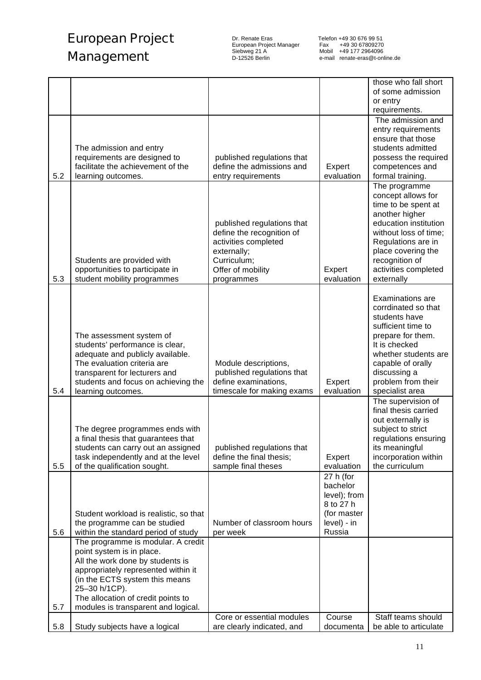Dr. Renate Eras Telefon +49 30 676 99 51 European Project Manager Fax +49 30 67809270 Siebweg 21 A Mobil +49 177 2964096

|     |                                        |                            |              | those who fall short                |
|-----|----------------------------------------|----------------------------|--------------|-------------------------------------|
|     |                                        |                            |              | of some admission                   |
|     |                                        |                            |              | or entry                            |
|     |                                        |                            |              | requirements.                       |
|     |                                        |                            |              | The admission and                   |
|     |                                        |                            |              | entry requirements                  |
|     |                                        |                            |              | ensure that those                   |
|     | The admission and entry                |                            |              | students admitted                   |
|     | requirements are designed to           | published regulations that |              | possess the required                |
|     | facilitate the achievement of the      | define the admissions and  | Expert       | competences and                     |
| 5.2 | learning outcomes.                     | entry requirements         | evaluation   | formal training.                    |
|     |                                        |                            |              | The programme                       |
|     |                                        |                            |              | concept allows for                  |
|     |                                        |                            |              | time to be spent at                 |
|     |                                        |                            |              | another higher                      |
|     |                                        | published regulations that |              | education institution               |
|     |                                        | define the recognition of  |              | without loss of time:               |
|     |                                        | activities completed       |              | Regulations are in                  |
|     |                                        | externally;                |              | place covering the                  |
|     | Students are provided with             | Curriculum;                |              | recognition of                      |
|     | opportunities to participate in        | Offer of mobility          | Expert       | activities completed                |
| 5.3 | student mobility programmes            | programmes                 | evaluation   | externally                          |
|     |                                        |                            |              |                                     |
|     |                                        |                            |              | Examinations are                    |
|     |                                        |                            |              | corrdinated so that                 |
|     |                                        |                            |              | students have<br>sufficient time to |
|     | The assessment system of               |                            |              | prepare for them.                   |
|     | students' performance is clear,        |                            |              | It is checked                       |
|     | adequate and publicly available.       |                            |              | whether students are                |
|     | The evaluation criteria are            | Module descriptions,       |              | capable of orally                   |
|     | transparent for lecturers and          | published regulations that |              | discussing a                        |
|     | students and focus on achieving the    | define examinations,       | Expert       | problem from their                  |
| 5.4 | learning outcomes.                     | timescale for making exams | evaluation   | specialist area                     |
|     |                                        |                            |              | The supervision of                  |
|     |                                        |                            |              | final thesis carried                |
|     |                                        |                            |              | out externally is                   |
|     | The degree programmes ends with        |                            |              | subject to strict                   |
|     | a final thesis that guarantees that    |                            |              | regulations ensuring                |
|     | students can carry out an assigned     | published regulations that |              | its meaningful                      |
|     | task independently and at the level    | define the final thesis;   | Expert       | incorporation within                |
| 5.5 | of the qualification sought.           | sample final theses        | evaluation   | the curriculum                      |
|     |                                        |                            | 27 h (for    |                                     |
|     |                                        |                            | bachelor     |                                     |
|     |                                        |                            | level); from |                                     |
|     |                                        |                            | 8 to 27 h    |                                     |
|     | Student workload is realistic, so that |                            | (for master  |                                     |
|     | the programme can be studied           | Number of classroom hours  | level) - in  |                                     |
| 5.6 | within the standard period of study    | per week                   | Russia       |                                     |
|     | The programme is modular. A credit     |                            |              |                                     |
|     | point system is in place.              |                            |              |                                     |
|     | All the work done by students is       |                            |              |                                     |
|     | appropriately represented within it    |                            |              |                                     |
|     | (in the ECTS system this means         |                            |              |                                     |
|     | 25-30 h/1CP).                          |                            |              |                                     |
|     | The allocation of credit points to     |                            |              |                                     |
| 5.7 | modules is transparent and logical.    | Core or essential modules  | Course       | Staff teams should                  |
| 5.8 | Study subjects have a logical          | are clearly indicated, and | documenta    | be able to articulate               |
|     |                                        |                            |              |                                     |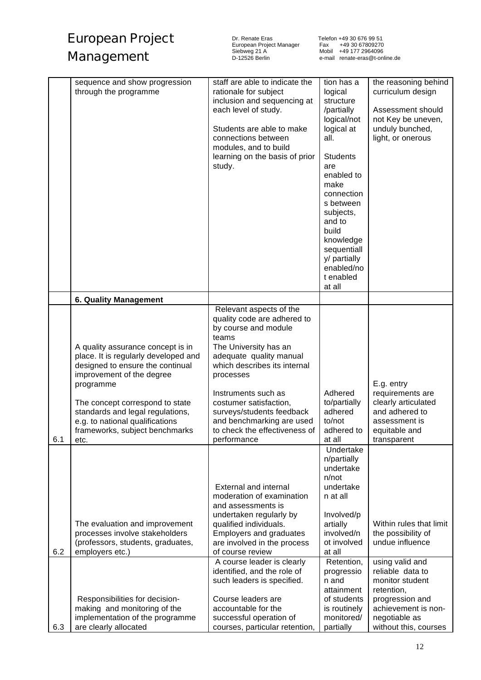| European Project | Dr. Renate<br>European |
|------------------|------------------------|
| Management       | Siebweg 2<br>D-12526 E |

Dr. Renate Eras Telefon +49 30 676 99 51 European Project Manager Fax +49 30 67809270 Siebweg 21 A Mobil +49 177 2964096

|     | sequence and show progression<br>through the programme                                                                                                                                                                                                                                                      | staff are able to indicate the<br>rationale for subject<br>inclusion and sequencing at<br>each level of study.<br>Students are able to make<br>connections between<br>modules, and to build<br>learning on the basis of prior<br>study.                                                                                                             | tion has a<br>logical<br>structure<br>/partially<br>logical/not<br>logical at<br>all.<br><b>Students</b><br>are<br>enabled to<br>make<br>connection<br>s between<br>subjects,<br>and to<br>build<br>knowledge<br>sequentiall<br>y/ partially<br>enabled/no<br>t enabled<br>at all | the reasoning behind<br>curriculum design<br>Assessment should<br>not Key be uneven,<br>unduly bunched,<br>light, or onerous                                                       |
|-----|-------------------------------------------------------------------------------------------------------------------------------------------------------------------------------------------------------------------------------------------------------------------------------------------------------------|-----------------------------------------------------------------------------------------------------------------------------------------------------------------------------------------------------------------------------------------------------------------------------------------------------------------------------------------------------|-----------------------------------------------------------------------------------------------------------------------------------------------------------------------------------------------------------------------------------------------------------------------------------|------------------------------------------------------------------------------------------------------------------------------------------------------------------------------------|
|     | <b>6. Quality Management</b>                                                                                                                                                                                                                                                                                |                                                                                                                                                                                                                                                                                                                                                     |                                                                                                                                                                                                                                                                                   |                                                                                                                                                                                    |
| 6.1 | A quality assurance concept is in<br>place. It is regularly developed and<br>designed to ensure the continual<br>improvement of the degree<br>programme<br>The concept correspond to state<br>standards and legal regulations,<br>e.g. to national qualifications<br>frameworks, subject benchmarks<br>etc. | Relevant aspects of the<br>quality code are adhered to<br>by course and module<br>teams<br>The University has an<br>adequate quality manual<br>which describes its internal<br>processes<br>Instruments such as<br>costumer satisfaction,<br>surveys/students feedback<br>and benchmarking are used<br>to check the effectiveness of<br>performance | Adhered<br>to/partially<br>adhered<br>to/not<br>adhered to<br>at all                                                                                                                                                                                                              | E.g. entry<br>requirements are<br>clearly articulated<br>and adhered to<br>assessment is<br>equitable and<br>transparent                                                           |
| 6.2 | The evaluation and improvement<br>processes involve stakeholders<br>(professors, students, graduates,<br>employers etc.)<br>Responsibilities for decision-<br>making and monitoring of the                                                                                                                  | External and internal<br>moderation of examination<br>and assessments is<br>undertaken regularly by<br>qualified individuals.<br>Employers and graduates<br>are involved in the process<br>of course review<br>A course leader is clearly<br>identified, and the role of<br>such leaders is specified.<br>Course leaders are<br>accountable for the | Undertake<br>n/partially<br>undertake<br>n/not<br>undertake<br>n at all<br>Involved/p<br>artially<br>involved/n<br>ot involved<br>at all<br>Retention,<br>progressio<br>n and<br>attainment<br>of students<br>is routinely                                                        | Within rules that limit<br>the possibility of<br>undue influence<br>using valid and<br>reliable data to<br>monitor student<br>retention,<br>progression and<br>achievement is non- |
| 6.3 | implementation of the programme<br>are clearly allocated                                                                                                                                                                                                                                                    | successful operation of<br>courses, particular retention,                                                                                                                                                                                                                                                                                           | monitored/<br>partially                                                                                                                                                                                                                                                           | negotiable as<br>without this, courses                                                                                                                                             |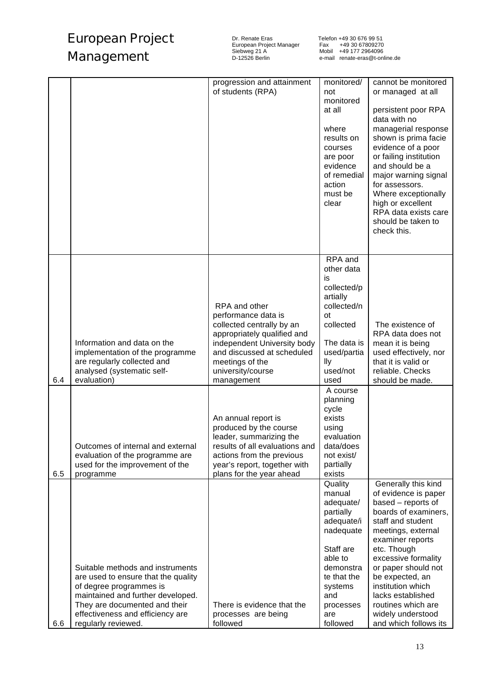Dr. Renate Eras Telefon +49 30 676 99 51

European Project Manager Fax +49 30 67809270 Siebweg 21 A Mobil +49 177 2964096 Telefon +49 30 676 99 51<br>Fax +49 30 67809270<br>Mobil +49 177 2964096<br>e-mail renate-eras@t-online.de

|     |                                                                                                                                                                                                                                     | progression and attainment<br>of students (RPA)                                                                                                                                                                     | monitored/<br>not<br>monitored<br>at all<br>where<br>results on<br>courses<br>are poor<br>evidence<br>of remedial<br>action<br>must be<br>clear                              | cannot be monitored<br>or managed at all<br>persistent poor RPA<br>data with no<br>managerial response<br>shown is prima facie<br>evidence of a poor<br>or failing institution<br>and should be a<br>major warning signal<br>for assessors.<br>Where exceptionally<br>high or excellent<br>RPA data exists care<br>should be taken to<br>check this.   |
|-----|-------------------------------------------------------------------------------------------------------------------------------------------------------------------------------------------------------------------------------------|---------------------------------------------------------------------------------------------------------------------------------------------------------------------------------------------------------------------|------------------------------------------------------------------------------------------------------------------------------------------------------------------------------|--------------------------------------------------------------------------------------------------------------------------------------------------------------------------------------------------------------------------------------------------------------------------------------------------------------------------------------------------------|
| 6.4 | Information and data on the<br>implementation of the programme<br>are regularly collected and<br>analysed (systematic self-<br>evaluation)                                                                                          | RPA and other<br>performance data is<br>collected centrally by an<br>appropriately qualified and<br>independent University body<br>and discussed at scheduled<br>meetings of the<br>university/course<br>management | RPA and<br>other data<br>is<br>collected/p<br>artially<br>collected/n<br><b>ot</b><br>collected<br>The data is<br>used/partia<br>lly<br>used/not<br>used                     | The existence of<br>RPA data does not<br>mean it is being<br>used effectively, nor<br>that it is valid or<br>reliable. Checks<br>should be made.                                                                                                                                                                                                       |
| 6.5 | Outcomes of internal and external<br>evaluation of the programme are<br>used for the improvement of the<br>programme                                                                                                                | An annual report is<br>produced by the course<br>leader, summarizing the<br>results of all evaluations and<br>actions from the previous<br>year's report, together with<br>plans for the year ahead                 | A course<br>planning<br>cycle<br>exists<br>using<br>evaluation<br>data/does<br>not exist/<br>partially<br>exists                                                             |                                                                                                                                                                                                                                                                                                                                                        |
| 6.6 | Suitable methods and instruments<br>are used to ensure that the quality<br>of degree programmes is<br>maintained and further developed.<br>They are documented and their<br>effectiveness and efficiency are<br>regularly reviewed. | There is evidence that the<br>processes are being<br>followed                                                                                                                                                       | Quality<br>manual<br>adequate/<br>partially<br>adequate/i<br>nadequate<br>Staff are<br>able to<br>demonstra<br>te that the<br>systems<br>and<br>processes<br>are<br>followed | Generally this kind<br>of evidence is paper<br>based - reports of<br>boards of examiners,<br>staff and student<br>meetings, external<br>examiner reports<br>etc. Though<br>excessive formality<br>or paper should not<br>be expected, an<br>institution which<br>lacks established<br>routines which are<br>widely understood<br>and which follows its |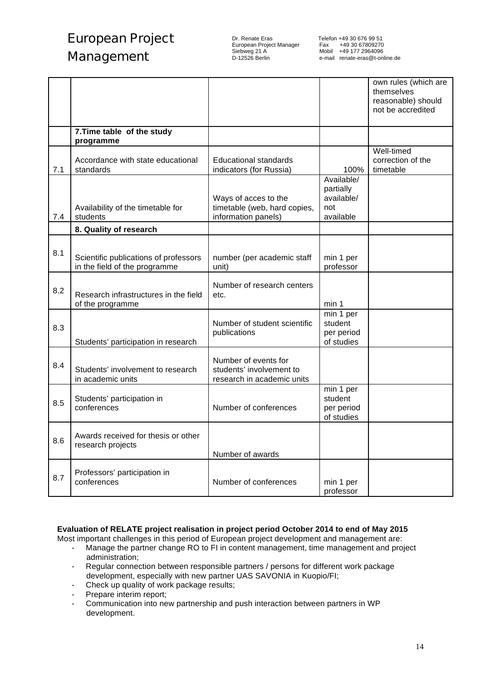European Project Manager<br>Siebweg 21 A European Project Manager<br>
Siebweg 21 A Mobil +49 177 2964096<br>
D-12526 Berlin e-mail renate-eras@t-onl

|     |                                                                        |                                                                                |                                                           | own rules (which are<br>themselves<br>reasonable) should<br>not be accredited |
|-----|------------------------------------------------------------------------|--------------------------------------------------------------------------------|-----------------------------------------------------------|-------------------------------------------------------------------------------|
|     | 7. Time table of the study<br>programme                                |                                                                                |                                                           |                                                                               |
| 7.1 | Accordance with state educational<br>standards                         | <b>Educational standards</b><br>indicators (for Russia)                        | 100%                                                      | Well-timed<br>correction of the<br>timetable                                  |
| 7.4 | Availability of the timetable for<br>students                          | Ways of acces to the<br>timetable (web, hard copies,<br>information panels)    | Available/<br>partially<br>available/<br>not<br>available |                                                                               |
|     | 8. Quality of research                                                 |                                                                                |                                                           |                                                                               |
| 8.1 | Scientific publications of professors<br>in the field of the programme | number (per academic staff<br>unit)                                            | min 1 per<br>professor                                    |                                                                               |
| 8.2 | Research infrastructures in the field<br>of the programme              | Number of research centers<br>etc.                                             | min 1                                                     |                                                                               |
| 8.3 | Students' participation in research                                    | Number of student scientific<br>publications                                   | min 1 per<br>student<br>per period<br>of studies          |                                                                               |
| 8.4 | Students' involvement to research<br>in academic units                 | Number of events for<br>students' involvement to<br>research in academic units |                                                           |                                                                               |
| 8.5 | Students' participation in<br>conferences                              | Number of conferences                                                          | min 1 per<br>student<br>per period<br>of studies          |                                                                               |
| 8.6 | Awards received for thesis or other<br>research projects               | Number of awards                                                               |                                                           |                                                                               |
| 8.7 | Professors' participation in<br>conferences                            | Number of conferences                                                          | min 1 per<br>professor                                    |                                                                               |

### **Evaluation of RELATE project realisation in project period October 2014 to end of May 2015**

Most important challenges in this period of European project development and management are:

- Manage the partner change RO to FI in content management, time management and project administration;
- Regular connection between responsible partners / persons for different work package development, especially with new partner UAS SAVONIA in Kuopio/FI;
- Check up quality of work package results;
- Prepare interim report;
- Communication into new partnership and push interaction between partners in WP development.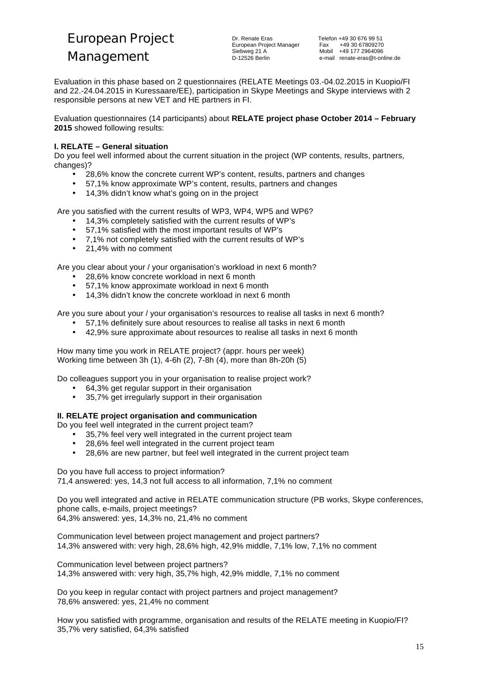European Project

### **Management**

Dr. Renate Eras Telefon +49 30 676 99 51 European Project Manager<br>Siebweg 21 A

Fax +49 30 67809270<br>Mobil +49 177 2964096 D-12526 Berlin e-mail renate-eras@t-online.de

Evaluation in this phase based on 2 questionnaires (RELATE Meetings 03.-04.02.2015 in Kuopio/FI and 22.-24.04.2015 in Kuressaare/EE), participation in Skype Meetings and Skype interviews with 2 responsible persons at new VET and HE partners in FI.

Evaluation questionnaires (14 participants) about **RELATE project phase October 2014 – February 2015** showed following results:

### **I. RELATE – General situation**

Do you feel well informed about the current situation in the project (WP contents, results, partners, changes)?

- 28,6% know the concrete current WP's content, results, partners and changes
- 57,1% know approximate WP's content, results, partners and changes
- 14,3% didn't know what's going on in the project

Are you satisfied with the current results of WP3, WP4, WP5 and WP6?

- 14,3% completely satisfied with the current results of WP's
- 57,1% satisfied with the most important results of WP's
- 7,1% not completely satisfied with the current results of WP's
- 21,4% with no comment

Are you clear about your / your organisation's workload in next 6 month?

- 28,6% know concrete workload in next 6 month
- 57,1% know approximate workload in next 6 month
- 14,3% didn't know the concrete workload in next 6 month

Are you sure about your / your organisation's resources to realise all tasks in next 6 month?

- 57,1% definitely sure about resources to realise all tasks in next 6 month
- 42,9% sure approximate about resources to realise all tasks in next 6 month

How many time you work in RELATE project? (appr. hours per week) Working time between 3h (1), 4-6h (2), 7-8h (4), more than 8h-20h (5)

Do colleagues support you in your organisation to realise project work?

- 64,3% get regular support in their organisation
- 35,7% get irregularly support in their organisation

### **II. RELATE project organisation and communication**

Do you feel well integrated in the current project team?

- 35,7% feel very well integrated in the current project team
- 28,6% feel well integrated in the current project team
- 28,6% are new partner, but feel well integrated in the current project team

Do you have full access to project information?

71,4 answered: yes, 14,3 not full access to all information, 7,1% no comment

Do you well integrated and active in RELATE communication structure (PB works, Skype conferences, phone calls, e-mails, project meetings? 64,3% answered: yes, 14,3% no, 21,4% no comment

Communication level between project management and project partners? 14,3% answered with: very high, 28,6% high, 42,9% middle, 7,1% low, 7,1% no comment

Communication level between project partners? 14,3% answered with: very high, 35,7% high, 42,9% middle, 7,1% no comment

Do you keep in regular contact with project partners and project management? 78,6% answered: yes, 21,4% no comment

How you satisfied with programme, organisation and results of the RELATE meeting in Kuopio/FI? 35,7% very satisfied, 64,3% satisfied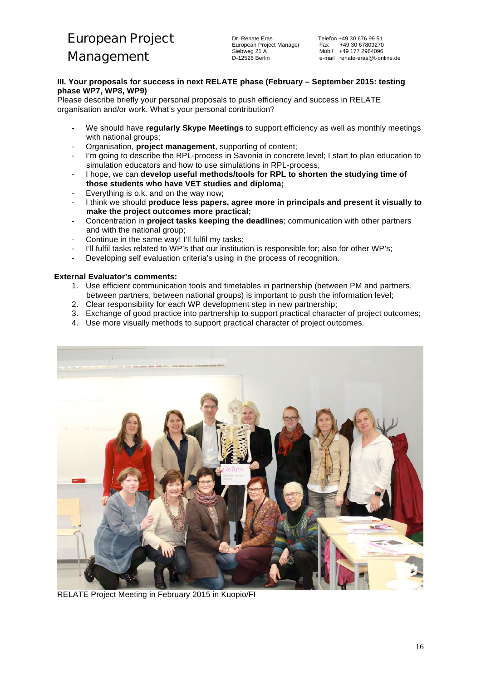### **III. Your proposals for success in next RELATE phase (February – September 2015: testing phase WP7, WP8, WP9)**

Please describe briefly your personal proposals to push efficiency and success in RELATE organisation and/or work. What's your personal contribution?

- We should have *regularly Skype Meetings* to support efficiency as well as monthly meetings with national groups;
- Organisation, **project management**, supporting of content;
- I'm going to describe the RPL-process in Savonia in concrete level; I start to plan education to simulation educators and how to use simulations in RPL-process;
- I hope, we can **develop useful methods/tools for RPL to shorten the studying time of those students who have VET studies and diploma;**
- Everything is o.k. and on the way now:
- I think we should **produce less papers, agree more in principals and present it visually to make the project outcomes more practical;**
- Concentration in **project tasks keeping the deadlines**; communication with other partners and with the national group;
- Continue in the same way! I'll fulfil my tasks;
- I'll fulfil tasks related to WP's that our institution is responsible for; also for other WP's;
- Developing self evaluation criteria's using in the process of recognition.

### **External Evaluator's comments:**

- 1. Use efficient communication tools and timetables in partnership (between PM and partners, between partners, between national groups) is important to push the information level;
- 2. Clear responsibility for each WP development step in new partnership;
- 3. Exchange of good practice into partnership to support practical character of project outcomes;
- 4. Use more visually methods to support practical character of project outcomes.



RELATE Project Meeting in February 2015 in Kuopio/FI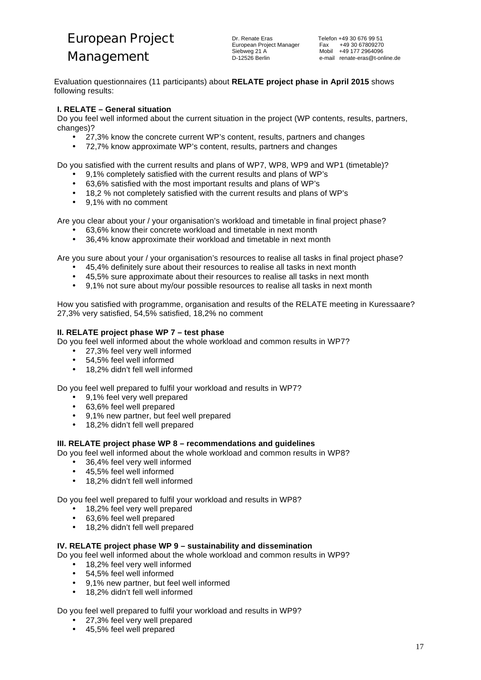Evaluation questionnaires (11 participants) about **RELATE project phase in April 2015** shows following results:

### **I. RELATE – General situation**

Do you feel well informed about the current situation in the project (WP contents, results, partners, changes)?

- 27,3% know the concrete current WP's content, results, partners and changes
- 72,7% know approximate WP's content, results, partners and changes

Do you satisfied with the current results and plans of WP7, WP8, WP9 and WP1 (timetable)?

- 9,1% completely satisfied with the current results and plans of WP's
- 63,6% satisfied with the most important results and plans of WP's
- 18,2 % not completely satisfied with the current results and plans of WP's
- 9,1% with no comment

Are you clear about your / your organisation's workload and timetable in final project phase?

- 63,6% know their concrete workload and timetable in next month
- 36,4% know approximate their workload and timetable in next month

Are you sure about your / your organisation's resources to realise all tasks in final project phase?

- 45,4% definitely sure about their resources to realise all tasks in next month
- 45,5% sure approximate about their resources to realise all tasks in next month
- 9,1% not sure about my/our possible resources to realise all tasks in next month

How you satisfied with programme, organisation and results of the RELATE meeting in Kuressaare? 27,3% very satisfied, 54,5% satisfied, 18,2% no comment

### **II. RELATE project phase WP 7 – test phase**

Do you feel well informed about the whole workload and common results in WP7?

- 27,3% feel very well informed
- 54,5% feel well informed
- 18,2% didn't fell well informed

Do you feel well prepared to fulfil your workload and results in WP7?

- 9,1% feel very well prepared<br>• 63.6% feel well prepared
- 63,6% feel well prepared
- 9,1% new partner, but feel well prepared
- 18,2% didn't fell well prepared

### **III. RELATE project phase WP 8 – recommendations and guidelines**

Do you feel well informed about the whole workload and common results in WP8?

- 36,4% feel very well informed<br>• 45.5% feel well informed
- 45,5% feel well informed
- 18,2% didn't fell well informed

Do you feel well prepared to fulfil your workload and results in WP8?

- 18,2% feel very well prepared
- 63,6% feel well prepared
- 18,2% didn't fell well prepared

### **IV. RELATE project phase WP 9 – sustainability and dissemination**

Do you feel well informed about the whole workload and common results in WP9?

- 18,2% feel very well informed
- 54,5% feel well informed
- 9,1% new partner, but feel well informed
- 18,2% didn't fell well informed

Do you feel well prepared to fulfil your workload and results in WP9?

- 27,3% feel very well prepared
- 45,5% feel well prepared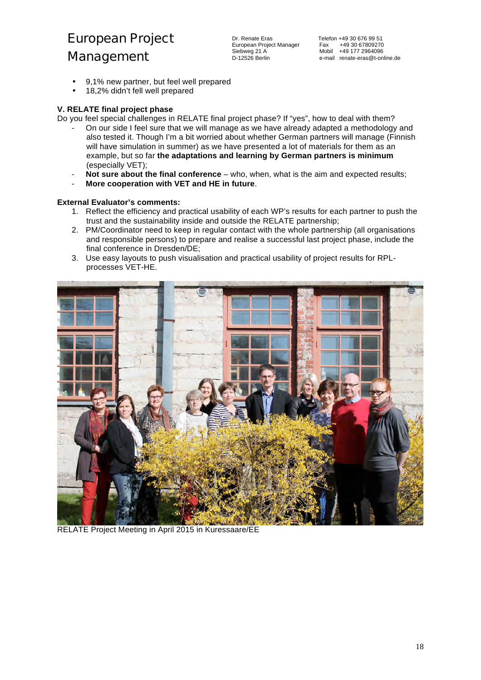- 9,1% new partner, but feel well prepared
- 18,2% didn't fell well prepared

### **V. RELATE final project phase**

Do you feel special challenges in RELATE final project phase? If "yes", how to deal with them?

- On our side I feel sure that we will manage as we have already adapted a methodology and also tested it. Though I'm a bit worried about whether German partners will manage (Finnish will have simulation in summer) as we have presented a lot of materials for them as an example, but so far **the adaptations and learning by German partners is minimum** (especially VET);
- **Not sure about the final conference** who, when, what is the aim and expected results;
- **More cooperation with VET and HE in future**.

### **External Evaluator's comments:**

- 1. Reflect the efficiency and practical usability of each WP's results for each partner to push the trust and the sustainability inside and outside the RELATE partnership;
- 2. PM/Coordinator need to keep in regular contact with the whole partnership (all organisations and responsible persons) to prepare and realise a successful last project phase, include the final conference in Dresden/DE;
- 3. Use easy layouts to push visualisation and practical usability of project results for RPLprocesses VET-HE.



RELATE Project Meeting in April 2015 in Kuressaare/EE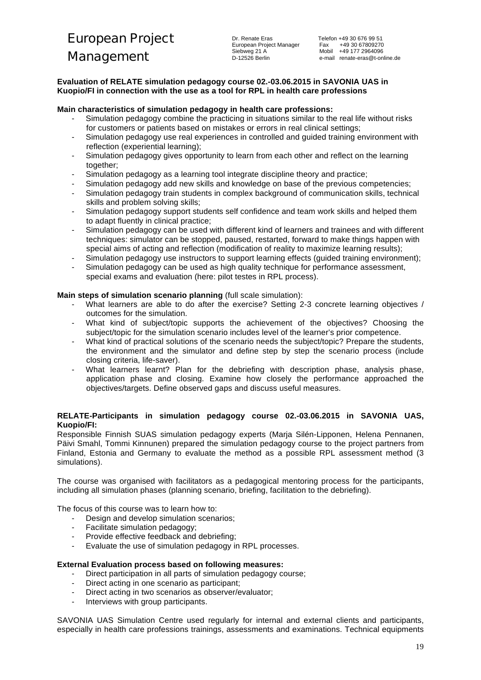### **Evaluation of RELATE simulation pedagogy course 02.-03.06.2015 in SAVONIA UAS in Kuopio/FI in connection with the use as a tool for RPL in health care professions**

### **Main characteristics of simulation pedagogy in health care professions:**

- Simulation pedagogy combine the practicing in situations similar to the real life without risks for customers or patients based on mistakes or errors in real clinical settings;
- Simulation pedagogy use real experiences in controlled and guided training environment with reflection (experiential learning);
- Simulation pedagogy gives opportunity to learn from each other and reflect on the learning together:
- Simulation pedagogy as a learning tool integrate discipline theory and practice;
- Simulation pedagogy add new skills and knowledge on base of the previous competencies;
- Simulation pedagogy train students in complex background of communication skills, technical skills and problem solving skills;
- Simulation pedagogy support students self confidence and team work skills and helped them to adapt fluently in clinical practice;
- Simulation pedagogy can be used with different kind of learners and trainees and with different techniques: simulator can be stopped, paused, restarted, forward to make things happen with special aims of acting and reflection (modification of reality to maximize learning results);
- Simulation pedagogy use instructors to support learning effects (guided training environment);
- Simulation pedagogy can be used as high quality technique for performance assessment, special exams and evaluation (here: pilot testes in RPL process).

### **Main steps of simulation scenario planning** (full scale simulation):

- What learners are able to do after the exercise? Setting 2-3 concrete learning objectives / outcomes for the simulation.
- What kind of subject/topic supports the achievement of the objectives? Choosing the subject/topic for the simulation scenario includes level of the learner's prior competence.
- What kind of practical solutions of the scenario needs the subject/topic? Prepare the students, the environment and the simulator and define step by step the scenario process (include closing criteria, life-saver).
- What learners learnt? Plan for the debriefing with description phase, analysis phase, application phase and closing. Examine how closely the performance approached the objectives/targets. Define observed gaps and discuss useful measures.

### **RELATE-Participants in simulation pedagogy course 02.-03.06.2015 in SAVONIA UAS, Kuopio/FI:**

Responsible Finnish SUAS simulation pedagogy experts (Marja Silén-Lipponen, Helena Pennanen, Päivi Smahl, Tommi Kinnunen) prepared the simulation pedagogy course to the project partners from Finland, Estonia and Germany to evaluate the method as a possible RPL assessment method (3 simulations).

The course was organised with facilitators as a pedagogical mentoring process for the participants, including all simulation phases (planning scenario, briefing, facilitation to the debriefing).

The focus of this course was to learn how to:

- Design and develop simulation scenarios:
- Facilitate simulation pedagogy;
- Provide effective feedback and debriefing;
- Evaluate the use of simulation pedagogy in RPL processes.

### **External Evaluation process based on following measures:**

- Direct participation in all parts of simulation pedagogy course;
- Direct acting in one scenario as participant;
- Direct acting in two scenarios as observer/evaluator;
- Interviews with group participants.

SAVONIA UAS Simulation Centre used regularly for internal and external clients and participants, especially in health care professions trainings, assessments and examinations. Technical equipments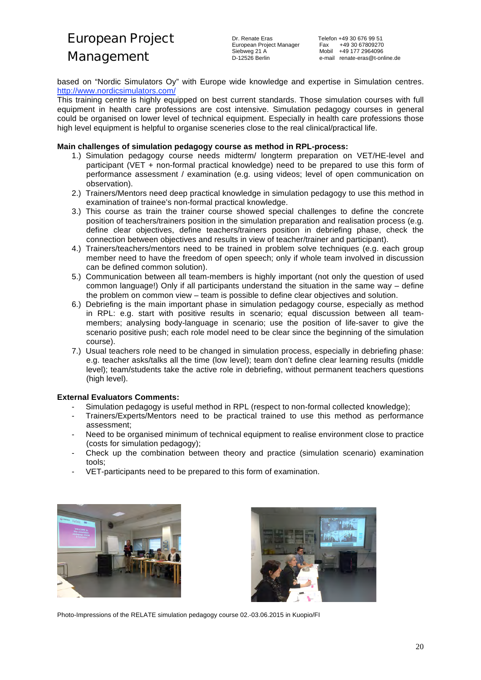Dr. Renate Eras Telefon +49 30 676 99 51 European Project Manager<br>Siebweg 21 A

based on "Nordic Simulators Oy" with Europe wide knowledge and expertise in Simulation centres. http://www.nordicsimulators.com/

This training centre is highly equipped on best current standards. Those simulation courses with full equipment in health care professions are cost intensive. Simulation pedagogy courses in general could be organised on lower level of technical equipment. Especially in health care professions those high level equipment is helpful to organise sceneries close to the real clinical/practical life.

### **Main challenges of simulation pedagogy course as method in RPL-process:**

- 1.) Simulation pedagogy course needs midterm/ longterm preparation on VET/HE-level and participant (VET + non-formal practical knowledge) need to be prepared to use this form of performance assessment / examination (e.g. using videos; level of open communication on observation).
- 2.) Trainers/Mentors need deep practical knowledge in simulation pedagogy to use this method in examination of trainee's non-formal practical knowledge.
- 3.) This course as train the trainer course showed special challenges to define the concrete position of teachers/trainers position in the simulation preparation and realisation process (e.g. define clear objectives, define teachers/trainers position in debriefing phase, check the connection between objectives and results in view of teacher/trainer and participant).
- 4.) Trainers/teachers/mentors need to be trained in problem solve techniques (e.g. each group member need to have the freedom of open speech; only if whole team involved in discussion can be defined common solution).
- 5.) Communication between all team-members is highly important (not only the question of used common language!) Only if all participants understand the situation in the same way – define the problem on common view – team is possible to define clear objectives and solution.
- 6.) Debriefing is the main important phase in simulation pedagogy course, especially as method in RPL: e.g. start with positive results in scenario; equal discussion between all teammembers; analysing body-language in scenario; use the position of life-saver to give the scenario positive push; each role model need to be clear since the beginning of the simulation course).
- 7.) Usual teachers role need to be changed in simulation process, especially in debriefing phase: e.g. teacher asks/talks all the time (low level); team don't define clear learning results (middle level); team/students take the active role in debriefing, without permanent teachers questions (high level).

### **External Evaluators Comments:**

- Simulation pedagogy is useful method in RPL (respect to non-formal collected knowledge);
- Trainers/Experts/Mentors need to be practical trained to use this method as performance assessment;
- Need to be organised minimum of technical equipment to realise environment close to practice (costs for simulation pedagogy);
- Check up the combination between theory and practice (simulation scenario) examination tools;
- VET-participants need to be prepared to this form of examination.





Photo-Impressions of the RELATE simulation pedagogy course 02.-03.06.2015 in Kuopio/FI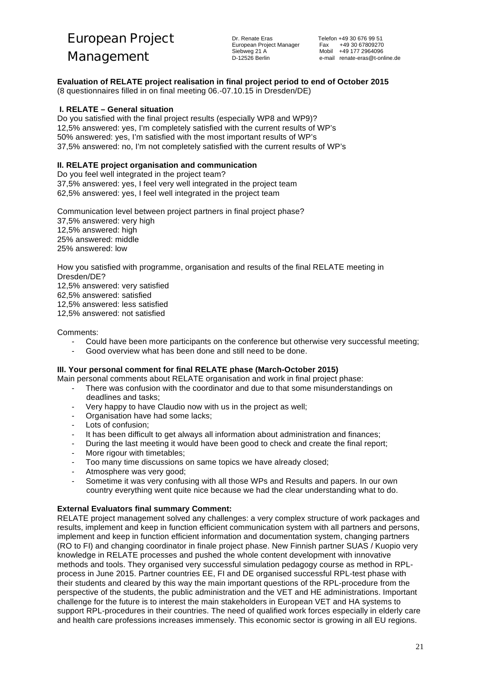**Evaluation of RELATE project realisation in final project period to end of October 2015**

(8 questionnaires filled in on final meeting 06.-07.10.15 in Dresden/DE)

### **I. RELATE – General situation**

Do you satisfied with the final project results (especially WP8 and WP9)? 12,5% answered: yes, I'm completely satisfied with the current results of WP's 50% answered: yes, I'm satisfied with the most important results of WP's 37,5% answered: no, I'm not completely satisfied with the current results of WP's

### **II. RELATE project organisation and communication**

Do you feel well integrated in the project team? 37,5% answered: yes, I feel very well integrated in the project team 62,5% answered: yes, I feel well integrated in the project team

Communication level between project partners in final project phase? 37,5% answered: very high 12,5% answered: high 25% answered: middle 25% answered: low

How you satisfied with programme, organisation and results of the final RELATE meeting in Dresden/DE? 12,5% answered: very satisfied 62,5% answered: satisfied 12,5% answered: less satisfied 12,5% answered: not satisfied

Comments:

- Could have been more participants on the conference but otherwise very successful meeting;
- Good overview what has been done and still need to be done.

### **III. Your personal comment for final RELATE phase (March-October 2015)**

- Main personal comments about RELATE organisation and work in final project phase:
	- There was confusion with the coordinator and due to that some misunderstandings on deadlines and tasks;
	- Very happy to have Claudio now with us in the project as well;
	- Organisation have had some lacks;
	- Lots of confusion;
	- It has been difficult to get always all information about administration and finances;
	- During the last meeting it would have been good to check and create the final report;
	- More rigour with timetables;
	- Too many time discussions on same topics we have already closed;
	- Atmosphere was very good;
	- Sometime it was very confusing with all those WPs and Results and papers. In our own country everything went quite nice because we had the clear understanding what to do.

### **External Evaluators final summary Comment:**

RELATE project management solved any challenges: a very complex structure of work packages and results, implement and keep in function efficient communication system with all partners and persons, implement and keep in function efficient information and documentation system, changing partners (RO to FI) and changing coordinator in finale project phase. New Finnish partner SUAS / Kuopio very knowledge in RELATE processes and pushed the whole content development with innovative methods and tools. They organised very successful simulation pedagogy course as method in RPLprocess in June 2015. Partner countries EE, FI and DE organised successful RPL-test phase with their students and cleared by this way the main important questions of the RPL-procedure from the perspective of the students, the public administration and the VET and HE administrations. Important challenge for the future is to interest the main stakeholders in European VET and HA systems to support RPL-procedures in their countries. The need of qualified work forces especially in elderly care and health care professions increases immensely. This economic sector is growing in all EU regions.